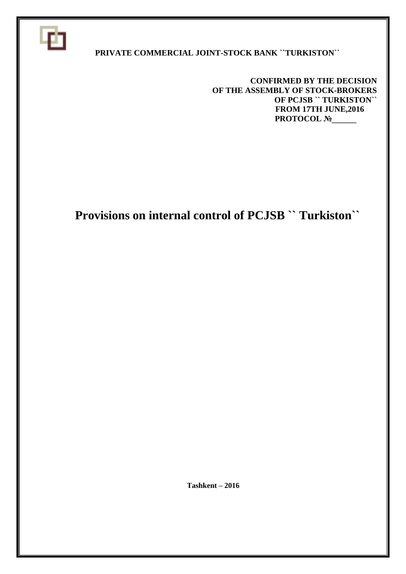

#### **PRIVATE COMMERCIAL JOINT-STOCK BANK ``TURKISTON``**

 **CONFIRMED BY THE DECISION OF THE ASSEMBLY OF STOCK-BROKERS OF PCJSB `` TURKISTON`` FROM 17TH JUNE,2016 PROTOCOL №\_\_\_\_\_** 

# **Provisions on internal control of PCJSB `` Turkiston``**

 **Тashkent – 2016**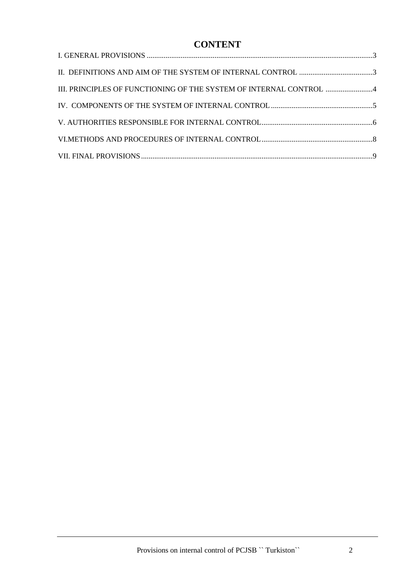## **CONTENT**

| III. PRINCIPLES OF FUNCTIONING OF THE SYSTEM OF INTERNAL CONTROL 4 |  |
|--------------------------------------------------------------------|--|
|                                                                    |  |
|                                                                    |  |
|                                                                    |  |
|                                                                    |  |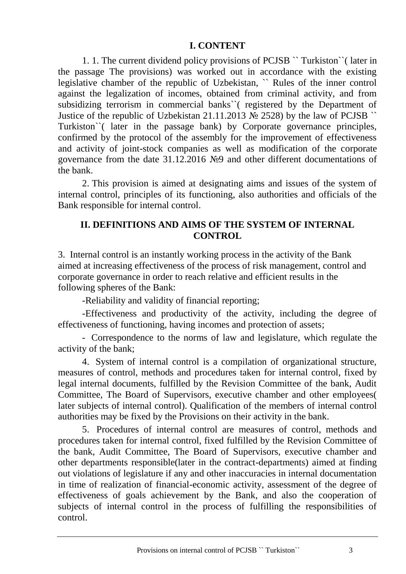#### **I. CONTENT**

<span id="page-2-0"></span>1. 1. The current dividend policy provisions of PCJSB `` Turkiston``( later in the passage The provisions) was worked out in accordance with the existing legislative chamber of the republic of Uzbekistan, `` Rules of the inner control against the legalization of incomes, obtained from criminal activity, and from subsidizing terrorism in commercial banks``( registered by the Department of Justice of the republic of Uzbekistan 21.11.2013  $\mathcal{N}$  2528) by the law of PCJSB  $\degree$ Turkiston``( later in the passage bank) by Corporate governance principles, confirmed by the protocol of the assembly for the improvement of effectiveness and activity of joint-stock companies as well as modification of the corporate governance from the date 31.12.2016 №9 and other different documentations of the bank.

2. This provision is aimed at designating aims and issues of the system of internal control, principles of its functioning, also authorities and officials of the Bank responsible for internal control.

#### <span id="page-2-1"></span>**II. DEFINITIONS AND AIMS OF THE SYSTEM OF INTERNAL CONTROL**

3. Internal control is an instantly working process in the activity of the Bank aimed at increasing effectiveness of the process of risk management, control and corporate governance in order to reach relative and efficient results in the following spheres of the Bank:

-Reliability and validity of financial reporting;

-Effectiveness and productivity of the activity, including the degree of effectiveness of functioning, having incomes and protection of assets;

- Correspondence to the norms of law and legislature, which regulate the activity of the bank;

4. System of internal control is a compilation of organizational structure, measures of control, methods and procedures taken for internal control, fixed by legal internal documents, fulfilled by the Revision Committee of the bank, Audit Committee, The Board of Supervisors, executive chamber and other employees( later subjects of internal control). Qualification of the members of internal control authorities may be fixed by the Provisions on their activity in the bank.

5. Procedures of internal control are measures of control, methods and procedures taken for internal control, fixed fulfilled by the Revision Committee of the bank, Audit Committee, The Board of Supervisors, executive chamber and other departments responsible(later in the contract-departments) aimed at finding out violations of legislature if any and other inaccuracies in internal documentation in time of realization of financial-economic activity, assessment of the degree of effectiveness of goals achievement by the Bank, and also the cooperation of subjects of internal control in the process of fulfilling the responsibilities of control.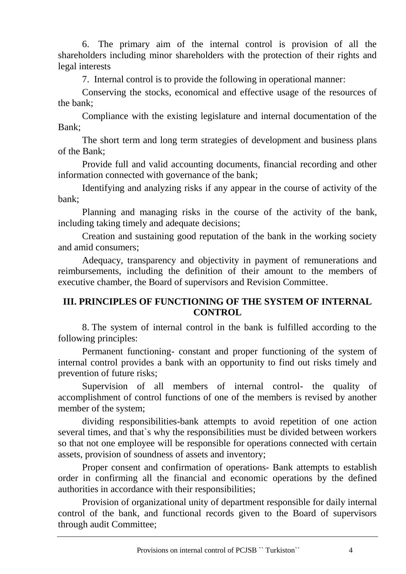6. The primary aim of the internal control is provision of all the shareholders including minor shareholders with the protection of their rights and legal interests

7. Internal control is to provide the following in operational manner:

Conserving the stocks, economical and effective usage of the resources of the bank;

Compliance with the existing legislature and internal documentation of the Bank;

The short term and long term strategies of development and business plans of the Bank;

Provide full and valid accounting documents, financial recording and other information connected with governance of the bank;

Identifying and analyzing risks if any appear in the course of activity of the bank;

Planning and managing risks in the course of the activity of the bank, including taking timely and adequate decisions;

Creation and sustaining good reputation of the bank in the working society and amid consumers;

Adequacy, transparency and objectivity in payment of remunerations and reimbursements, including the definition of their amount to the members of executive chamber, the Board of supervisors and Revision Committee.

### <span id="page-3-0"></span>**III. PRINCIPLES OF FUNCTIONING OF THE SYSTEM OF INTERNAL CONTROL**

8. The system of internal control in the bank is fulfilled according to the following principles:

Permanent functioning- constant and proper functioning of the system of internal control provides a bank with an opportunity to find out risks timely and prevention of future risks;

Supervision of all members of internal control- the quality of accomplishment of control functions of one of the members is revised by another member of the system;

dividing responsibilities-bank attempts to avoid repetition of one action several times, and that`s why the responsibilities must be divided between workers so that not one employee will be responsible for operations connected with certain assets, provision of soundness of assets and inventory;

Proper consent and confirmation of operations- Bank attempts to establish order in confirming all the financial and economic operations by the defined authorities in accordance with their responsibilities;

Provision of organizational unity of department responsible for daily internal control of the bank, and functional records given to the Board of supervisors through audit Committee;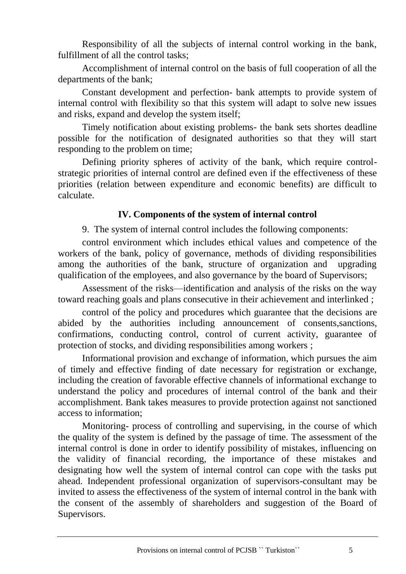Responsibility of all the subjects of internal control working in the bank, fulfillment of all the control tasks;

Accomplishment of internal control on the basis of full cooperation of all the departments of the bank;

Constant development and perfection- bank attempts to provide system of internal control with flexibility so that this system will adapt to solve new issues and risks, expand and develop the system itself;

Timely notification about existing problems- the bank sets shortes deadline possible for the notification of designated authorities so that they will start responding to the problem on time;

Defining priority spheres of activity of the bank, which require controlstrategic priorities of internal control are defined even if the effectiveness of these priorities (relation between expenditure and economic benefits) are difficult to calculate.

#### **IV. Components of the system of internal control**

<span id="page-4-0"></span>9. The system of internal control includes the following components:

control environment which includes ethical values and competence of the workers of the bank, policy of governance, methods of dividing responsibilities among the authorities of the bank, structure of organization and upgrading qualification of the employees, and also governance by the board of Supervisors;

Assessment of the risks—identification and analysis of the risks on the way toward reaching goals and plans consecutive in their achievement and interlinked ;

control of the policy and procedures which guarantee that the decisions are abided by the authorities including announcement of consents,sanctions, confirmations, conducting control, control of current activity, guarantee of protection of stocks, and dividing responsibilities among workers ;

Informational provision and exchange of information, which pursues the aim of timely and effective finding of date necessary for registration or exchange, including the creation of favorable effective channels of informational exchange to understand the policy and procedures of internal control of the bank and their accomplishment. Bank takes measures to provide protection against not sanctioned access to information;

Monitoring- process of controlling and supervising, in the course of which the quality of the system is defined by the passage of time. The assessment of the internal control is done in order to identify possibility of mistakes, influencing on the validity of financial recording, the importance of these mistakes and designating how well the system of internal control can cope with the tasks put ahead. Independent professional organization of supervisors-consultant may be invited to assess the effectiveness of the system of internal control in the bank with the consent of the assembly of shareholders and suggestion of the Board of Supervisors.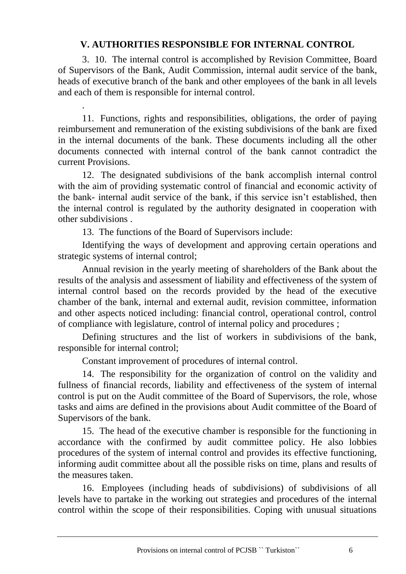## **V. AUTHORITIES RESPONSIBLE FOR INTERNAL CONTROL**

<span id="page-5-0"></span>3. 10. The internal control is accomplished by Revision Committee, Board of Supervisors of the Bank, Audit Commission, internal audit service of the bank, heads of executive branch of the bank and other employees of the bank in all levels and each of them is responsible for internal control.

11. Functions, rights and responsibilities, obligations, the order of paying reimbursement and remuneration of the existing subdivisions of the bank are fixed in the internal documents of the bank. These documents including all the other documents connected with internal control of the bank cannot contradict the current Provisions.

12. The designated subdivisions of the bank accomplish internal control with the aim of providing systematic control of financial and economic activity of the bank- internal audit service of the bank, if this service isn't established, then the internal control is regulated by the authority designated in cooperation with other subdivisions .

13. The functions of the Board of Supervisors include:

.

Identifying the ways of development and approving certain operations and strategic systems of internal control;

Annual revision in the yearly meeting of shareholders of the Bank about the results of the analysis and assessment of liability and effectiveness of the system of internal control based on the records provided by the head of the executive chamber of the bank, internal and external audit, revision committee, information and other aspects noticed including: financial control, operational control, control of compliance with legislature, control of internal policy and procedures ;

Defining structures and the list of workers in subdivisions of the bank, responsible for internal control;

Constant improvement of procedures of internal control.

14. The responsibility for the organization of control on the validity and fullness of financial records, liability and effectiveness of the system of internal control is put on the Audit committee of the Board of Supervisors, the role, whose tasks and aims are defined in the provisions about Audit committee of the Board of Supervisors of the bank.

15. The head of the executive chamber is responsible for the functioning in accordance with the confirmed by audit committee policy. He also lobbies procedures of the system of internal control and provides its effective functioning, informing audit committee about all the possible risks on time, plans and results of the measures taken.

16. Employees (including heads of subdivisions) of subdivisions of all levels have to partake in the working out strategies and procedures of the internal control within the scope of their responsibilities. Coping with unusual situations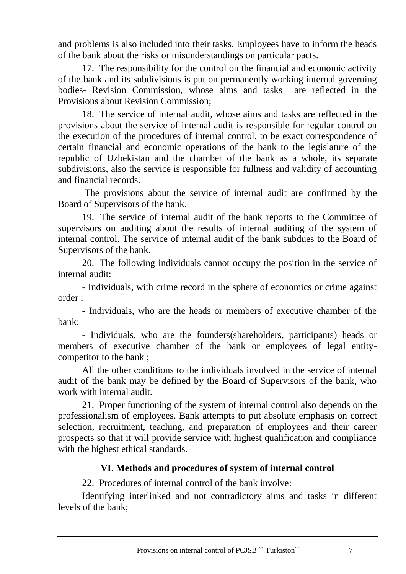and problems is also included into their tasks. Employees have to inform the heads of the bank about the risks or misunderstandings on particular pacts.

17. The responsibility for the control on the financial and economic activity of the bank and its subdivisions is put on permanently working internal governing bodies- Revision Commission, whose aims and tasks are reflected in the Provisions about Revision Commission;

18. The service of internal audit, whose aims and tasks are reflected in the provisions about the service of internal audit is responsible for regular control on the execution of the procedures of internal control, to be exact correspondence of certain financial and economic operations of the bank to the legislature of the republic of Uzbekistan and the chamber of the bank as a whole, its separate subdivisions, also the service is responsible for fullness and validity of accounting and financial records.

The provisions about the service of internal audit are confirmed by the Board of Supervisors of the bank.

19. The service of internal audit of the bank reports to the Committee of supervisors on auditing about the results of internal auditing of the system of internal control. The service of internal audit of the bank subdues to the Board of Supervisors of the bank.

20. The following individuals cannot occupy the position in the service of internal audit:

- Individuals, with crime record in the sphere of economics or crime against order ;

- Individuals, who are the heads or members of executive chamber of the bank;

- Individuals, who are the founders(shareholders, participants) heads or members of executive chamber of the bank or employees of legal entitycompetitor to the bank ;

All the other conditions to the individuals involved in the service of internal audit of the bank may be defined by the Board of Supervisors of the bank, who work with internal audit.

21. Proper functioning of the system of internal control also depends on the professionalism of employees. Bank attempts to put absolute emphasis on correct selection, recruitment, teaching, and preparation of employees and their career prospects so that it will provide service with highest qualification and compliance with the highest ethical standards.

### **VI. Methods and procedures of system of internal control**

<span id="page-6-0"></span>22. Procedures of internal control of the bank involve:

Identifying interlinked and not contradictory aims and tasks in different levels of the bank;